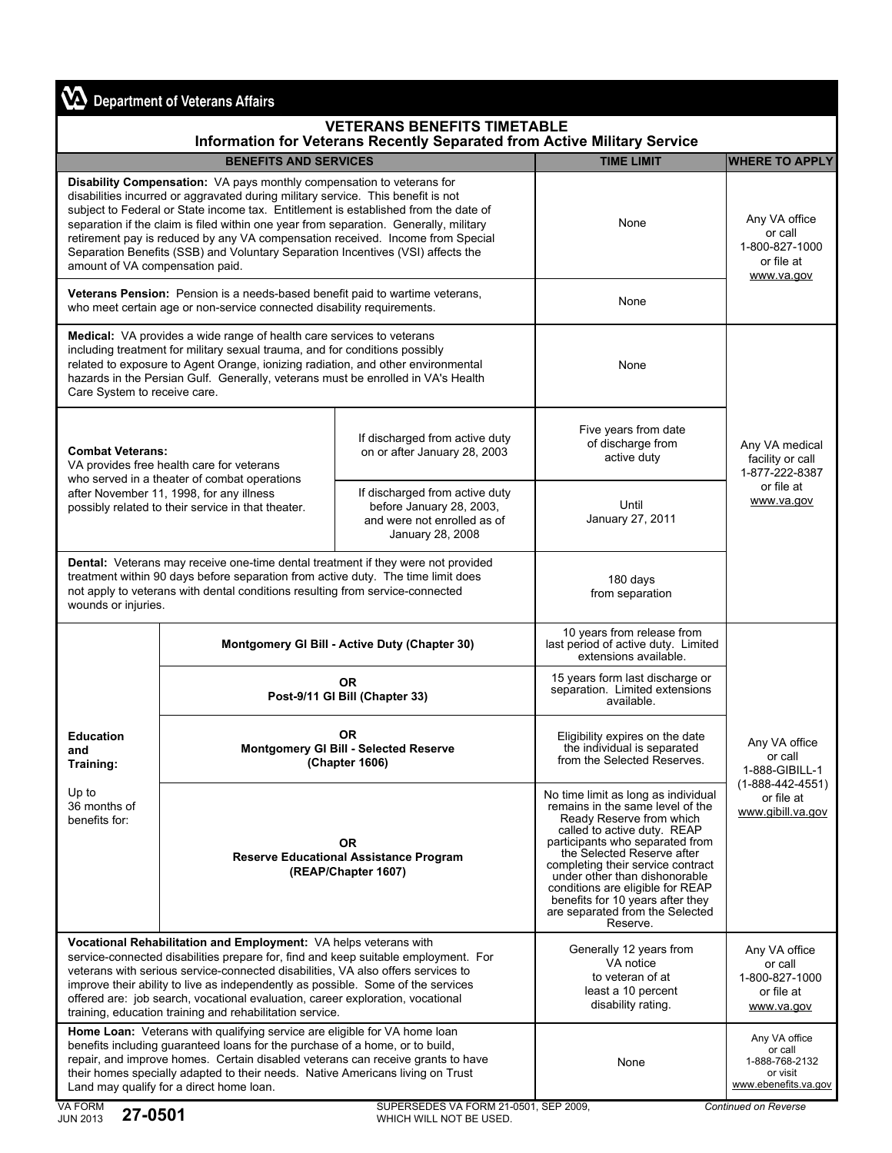## **VA** Department of Veterans Affairs

## **VETERANS BENEFITS TIMETABLE**

| Information for Veterans Recently Separated from Active Military Service                                                                                                                                                                                                                                                                                                                                                                                                                                                                          |                                                                      |                                                                                                               |                                                                                                                                                                                                                                                                                                                                                                                                  |                                                                                  |  |  |
|---------------------------------------------------------------------------------------------------------------------------------------------------------------------------------------------------------------------------------------------------------------------------------------------------------------------------------------------------------------------------------------------------------------------------------------------------------------------------------------------------------------------------------------------------|----------------------------------------------------------------------|---------------------------------------------------------------------------------------------------------------|--------------------------------------------------------------------------------------------------------------------------------------------------------------------------------------------------------------------------------------------------------------------------------------------------------------------------------------------------------------------------------------------------|----------------------------------------------------------------------------------|--|--|
|                                                                                                                                                                                                                                                                                                                                                                                                                                                                                                                                                   | <b>BENEFITS AND SERVICES</b>                                         |                                                                                                               | <b>TIME LIMIT</b>                                                                                                                                                                                                                                                                                                                                                                                | <b>WHERE TO APPLY</b>                                                            |  |  |
| Disability Compensation: VA pays monthly compensation to veterans for<br>disabilities incurred or aggravated during military service. This benefit is not<br>subject to Federal or State income tax. Entitlement is established from the date of<br>separation if the claim is filed within one year from separation. Generally, military<br>retirement pay is reduced by any VA compensation received. Income from Special<br>Separation Benefits (SSB) and Voluntary Separation Incentives (VSI) affects the<br>amount of VA compensation paid. |                                                                      |                                                                                                               | None                                                                                                                                                                                                                                                                                                                                                                                             | Any VA office<br>or call<br>1-800-827-1000<br>or file at<br>www.va.gov           |  |  |
| Veterans Pension: Pension is a needs-based benefit paid to wartime veterans,<br>who meet certain age or non-service connected disability requirements.                                                                                                                                                                                                                                                                                                                                                                                            |                                                                      |                                                                                                               | None                                                                                                                                                                                                                                                                                                                                                                                             |                                                                                  |  |  |
| <b>Medical:</b> VA provides a wide range of health care services to veterans<br>including treatment for military sexual trauma, and for conditions possibly<br>related to exposure to Agent Orange, ionizing radiation, and other environmental<br>hazards in the Persian Gulf. Generally, veterans must be enrolled in VA's Health<br>Care System to receive care.                                                                                                                                                                               |                                                                      |                                                                                                               | None                                                                                                                                                                                                                                                                                                                                                                                             |                                                                                  |  |  |
| <b>Combat Veterans:</b><br>VA provides free health care for veterans<br>who served in a theater of combat operations<br>after November 11, 1998, for any illness<br>possibly related to their service in that theater.                                                                                                                                                                                                                                                                                                                            |                                                                      | If discharged from active duty<br>on or after January 28, 2003                                                | Five years from date<br>of discharge from<br>active duty                                                                                                                                                                                                                                                                                                                                         | Any VA medical<br>facility or call<br>1-877-222-8387<br>or file at<br>www.va.gov |  |  |
|                                                                                                                                                                                                                                                                                                                                                                                                                                                                                                                                                   |                                                                      | If discharged from active duty<br>before January 28, 2003,<br>and were not enrolled as of<br>January 28, 2008 | Until<br>January 27, 2011                                                                                                                                                                                                                                                                                                                                                                        |                                                                                  |  |  |
| Dental: Veterans may receive one-time dental treatment if they were not provided<br>treatment within 90 days before separation from active duty. The time limit does<br>not apply to veterans with dental conditions resulting from service-connected<br>wounds or injuries.                                                                                                                                                                                                                                                                      |                                                                      | 180 days<br>from separation                                                                                   |                                                                                                                                                                                                                                                                                                                                                                                                  |                                                                                  |  |  |
| <b>Education</b><br>and<br>Training:<br>Up to<br>36 months of<br>benefits for:                                                                                                                                                                                                                                                                                                                                                                                                                                                                    | Montgomery GI Bill - Active Duty (Chapter 30)                        |                                                                                                               | 10 years from release from<br>last period of active duty. Limited<br>extensions available.                                                                                                                                                                                                                                                                                                       | Any VA office<br>or call<br>1-888-GIBILL-1                                       |  |  |
|                                                                                                                                                                                                                                                                                                                                                                                                                                                                                                                                                   | <b>OR</b><br>Post-9/11 GI Bill (Chapter 33)                          |                                                                                                               | 15 years form last discharge or<br>separation. Limited extensions<br>available.                                                                                                                                                                                                                                                                                                                  |                                                                                  |  |  |
|                                                                                                                                                                                                                                                                                                                                                                                                                                                                                                                                                   | <b>OR</b><br>Montgomery GI Bill - Selected Reserve<br>(Chapter 1606) |                                                                                                               | Eligibility expires on the date<br>the individual is separated<br>from the Selected Reserves.                                                                                                                                                                                                                                                                                                    |                                                                                  |  |  |
|                                                                                                                                                                                                                                                                                                                                                                                                                                                                                                                                                   |                                                                      | <b>OR</b><br><b>Reserve Educational Assistance Program</b><br>(REAP/Chapter 1607)                             | No time limit as long as individual<br>remains in the same level of the<br>Ready Reserve from which<br>called to active duty. REAP<br>participants who separated from<br>the Selected Reserve after<br>completing their service contract<br>under other than dishonorable<br>conditions are eligible for REAP<br>benefits for 10 years after they<br>are separated from the Selected<br>Reserve. | $(1 - 888 - 442 - 4551)$<br>or file at<br>www.gibill.va.gov                      |  |  |
| Vocational Rehabilitation and Employment: VA helps veterans with<br>service-connected disabilities prepare for, find and keep suitable employment. For<br>veterans with serious service-connected disabilities, VA also offers services to<br>improve their ability to live as independently as possible. Some of the services<br>offered are: job search, vocational evaluation, career exploration, vocational<br>training, education training and rehabilitation service.                                                                      |                                                                      |                                                                                                               | Generally 12 years from<br>VA notice<br>to veteran of at<br>least a 10 percent<br>disability rating.                                                                                                                                                                                                                                                                                             | Any VA office<br>or call<br>1-800-827-1000<br>or file at<br>www.va.gov           |  |  |
| Home Loan: Veterans with qualifying service are eligible for VA home loan<br>benefits including guaranteed loans for the purchase of a home, or to build,<br>repair, and improve homes. Certain disabled veterans can receive grants to have<br>their homes specially adapted to their needs. Native Americans living on Trust<br>Land may qualify for a direct home loan.                                                                                                                                                                        |                                                                      |                                                                                                               | None                                                                                                                                                                                                                                                                                                                                                                                             | Any VA office<br>or call<br>1-888-768-2132<br>or visit<br>www.ebenefits.va.gov   |  |  |
| <b>VA EOPM</b><br>SHEERSEDES VA FORM 21-0501 SEP 2009                                                                                                                                                                                                                                                                                                                                                                                                                                                                                             |                                                                      |                                                                                                               |                                                                                                                                                                                                                                                                                                                                                                                                  | Continued on Peyerse                                                             |  |  |